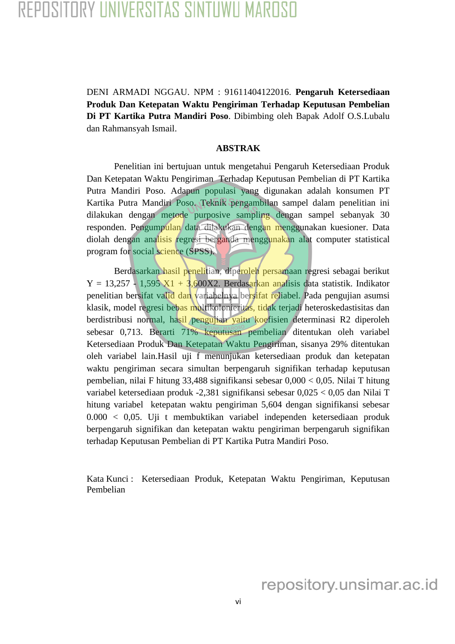## REPOSITORY UNIVERSITAS SINTUWU MAROSO

DENI ARMADI NGGAU. NPM : 91611404122016. **Pengaruh Ketersediaan Produk Dan Ketepatan Waktu Pengiriman Terhadap Keputusan Pembelian Di PT Kartika Putra Mandiri Poso**. Dibimbing oleh Bapak Adolf O.S.Lubalu dan Rahmansyah Ismail.

## **ABSTRAK**

Penelitian ini bertujuan untuk mengetahui Pengaruh Ketersediaan Produk Dan Ketepatan Waktu Pengiriman Terhadap Keputusan Pembelian di PT Kartika Putra Mandiri Poso. Adapun populasi yang digunakan adalah konsumen PT Kartika Putra Mandiri Poso. Teknik pengambilan sampel dalam penelitian ini dilakukan dengan metode purposive sampling dengan sampel sebanyak 30 responden. Pengumpulan data dilakukan dengan menggunakan kuesioner. Data diolah dengan analisis regresi berganda menggunakan alat computer statistical program for social science (SPSS).

Berdasarkan hasil penelitian, diperoleh persamaan regresi sebagai berikut  $Y = 13,257 - 1,595$   $X1 + 3,600X2$ . Berdasarkan analisis data statistik. Indikator penelitian bersifat valid dan variabelnya bersifat reliabel. Pada pengujian asumsi klasik, model regresi bebas multikolonieritas, tidak terjadi heteroskedastisitas dan berdistribusi normal, hasil pengujian yaitu koefisien determinasi R2 diperoleh sebesar 0,713. Berarti 71% keputusan pembelian ditentukan oleh variabel Ketersediaan Produk Dan Ketepatan Waktu Pengiriman, sisanya 29% ditentukan oleh variabel lain.Hasil uji f menunjukan ketersediaan produk dan ketepatan waktu pengiriman secara simultan berpengaruh signifikan terhadap keputusan pembelian, nilai F hitung 33,488 signifikansi sebesar 0,000 < 0,05. Nilai T hitung variabel ketersediaan produk -2,381 signifikansi sebesar 0,025 < 0,05 dan Nilai T hitung variabel ketepatan waktu pengiriman 5,604 dengan signifikansi sebesar 0.000 < 0,05. Uji t membuktikan variabel independen ketersediaan produk berpengaruh signifikan dan ketepatan waktu pengiriman berpengaruh signifikan terhadap Keputusan Pembelian di PT Kartika Putra Mandiri Poso.

Kata Kunci : Ketersediaan Produk, Ketepatan Waktu Pengiriman, Keputusan Pembelian

repository.unsimar.ac.id